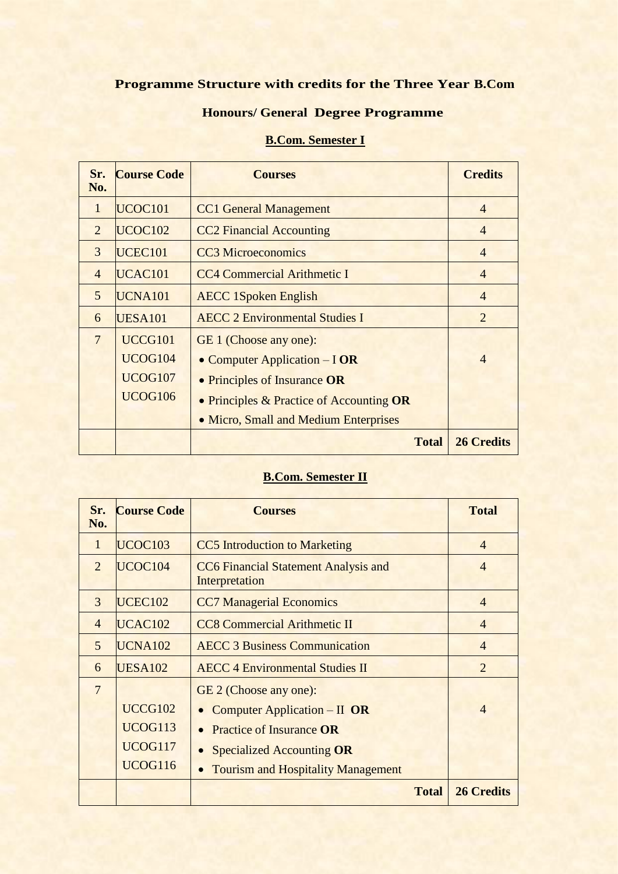#### **Programme Structure with credits for the Three Year B.Com**

## **Honours/ General Degree Programme**

# **B.Com. Semester I**

| Sr.<br>No.     | <b>Course Code</b>  | <b>Courses</b>                           | <b>Credits</b>    |
|----------------|---------------------|------------------------------------------|-------------------|
| 1              | UCOC <sub>101</sub> | <b>CC1 General Management</b>            | $\overline{4}$    |
| 2              | UCOC <sub>102</sub> | <b>CC2 Financial Accounting</b>          | $\overline{4}$    |
| 3              | UCEC <sub>101</sub> | <b>CC3</b> Microeconomics                | $\overline{4}$    |
| $\overline{4}$ | UCAC <sub>101</sub> | <b>CC4 Commercial Arithmetic I</b>       | 4                 |
| 5              | UCNA101             | <b>AECC 1Spoken English</b>              | $\overline{4}$    |
| 6              | <b>UESA101</b>      | <b>AECC 2 Environmental Studies I</b>    | 2                 |
| $\overline{7}$ | UCCG101             | GE 1 (Choose any one):                   |                   |
|                | <b>UCOG104</b>      | • Computer Application – I OR            | $\overline{4}$    |
|                | UCOG107             | • Principles of Insurance OR             |                   |
|                | <b>UCOG106</b>      | • Principles & Practice of Accounting OR |                   |
|                |                     | • Micro, Small and Medium Enterprises    |                   |
|                |                     | <b>Total</b>                             | <b>26 Credits</b> |

## **B.Com. Semester II**

| Sr.<br>No.     | <b>Course Code</b>  | <b>Courses</b>                                                |              | <b>Total</b>      |
|----------------|---------------------|---------------------------------------------------------------|--------------|-------------------|
| 1              | UCOC <sub>103</sub> | <b>CC5</b> Introduction to Marketing                          |              | $\overline{4}$    |
| $\overline{2}$ | UCOC <sub>104</sub> | <b>CC6</b> Financial Statement Analysis and<br>Interpretation |              | $\overline{4}$    |
| 3              | UCEC <sub>102</sub> | <b>CC7 Managerial Economics</b>                               |              | $\overline{4}$    |
| $\overline{4}$ | UCAC <sub>102</sub> | <b>CC8 Commercial Arithmetic II</b>                           |              | $\overline{4}$    |
| 5              | UCNA102             | <b>AECC 3 Business Communication</b>                          |              | $\overline{4}$    |
| 6              | <b>UESA102</b>      | <b>AECC 4 Environmental Studies II</b>                        |              | $\overline{2}$    |
| $\overline{7}$ |                     | GE 2 (Choose any one):                                        |              |                   |
|                | UCCG102             | • Computer Application – II OR                                |              | $\overline{4}$    |
|                | <b>UCOG113</b>      | <b>Practice of Insurance OR</b>                               |              |                   |
|                | UCOG117             | <b>Specialized Accounting OR</b>                              |              |                   |
|                | <b>UCOG116</b>      | <b>Tourism and Hospitality Management</b>                     |              |                   |
|                |                     |                                                               | <b>Total</b> | <b>26 Credits</b> |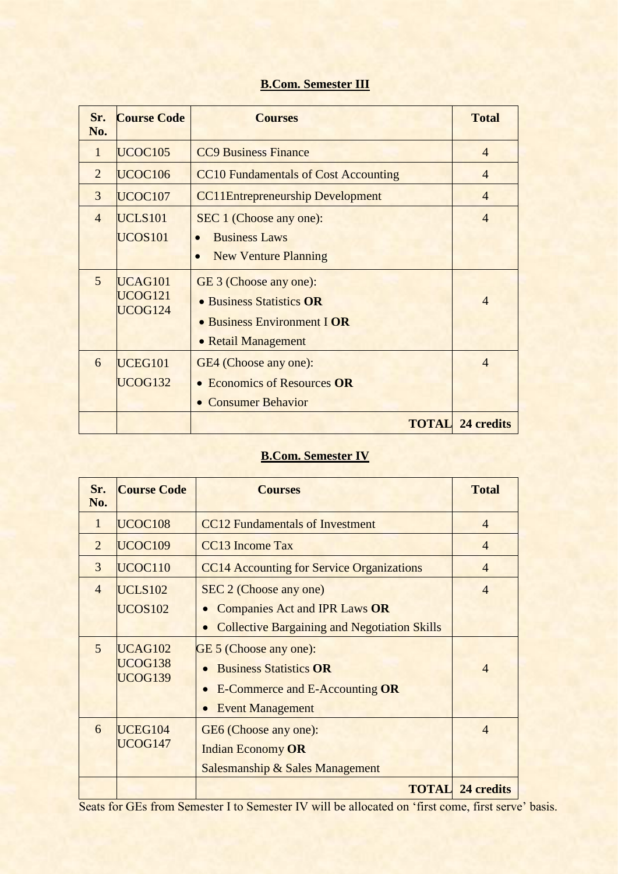## **B.Com. Semester III**

| Sr.<br>N <sub>0</sub> . | <b>Course Code</b>            | <b>Courses</b>                                                                                           | <b>Total</b>   |  |  |
|-------------------------|-------------------------------|----------------------------------------------------------------------------------------------------------|----------------|--|--|
| $\mathbf{1}$            | UCOC <sub>105</sub>           | <b>CC9 Business Finance</b>                                                                              | $\overline{4}$ |  |  |
| $\overline{2}$          | UCOC <sub>106</sub>           | <b>CC10 Fundamentals of Cost Accounting</b><br>$\overline{4}$                                            |                |  |  |
| 3                       | UCOC <sub>107</sub>           | <b>CC11Entrepreneurship Development</b>                                                                  | $\overline{4}$ |  |  |
| $\overline{4}$          | UCLS101<br><b>UCOS101</b>     | SEC 1 (Choose any one):<br><b>Business Laws</b><br><b>New Venture Planning</b><br>$\bullet$              | $\overline{4}$ |  |  |
| $\overline{5}$          | UCAG101<br>UCOG121<br>UCOG124 | GE 3 (Choose any one):<br>• Business Statistics OR<br>• Business Environment I OR<br>• Retail Management | $\overline{4}$ |  |  |
| 6                       | UCEG101<br>UCOG132            | GE4 (Choose any one):<br><b>Economics of Resources OR</b><br><b>Consumer Behavior</b>                    | $\overline{4}$ |  |  |
|                         |                               | <b>TOTAL</b>                                                                                             | 24 credits     |  |  |

## **B.Com. Semester IV**

| Sr.<br>No.     | <b>Course Code</b>        | <b>Courses</b>                                      | <b>Total</b>            |
|----------------|---------------------------|-----------------------------------------------------|-------------------------|
| $\mathbf{1}$   | UCOC <sub>108</sub>       | <b>CC12</b> Fundamentals of Investment              | $\overline{4}$          |
| $\overline{2}$ | UCOC <sub>109</sub>       | CC13 Income Tax                                     | $\overline{4}$          |
| 3              | UCOC110                   | <b>CC14 Accounting for Service Organizations</b>    | $\overline{4}$          |
| $\overline{4}$ | UCLS102                   | SEC 2 (Choose any one)                              | $\overline{4}$          |
|                | <b>UCOS102</b>            | <b>Companies Act and IPR Laws OR</b><br>$\bullet$   |                         |
|                |                           | <b>Collective Bargaining and Negotiation Skills</b> |                         |
| $\overline{5}$ | UCAG102                   | GE 5 (Choose any one):                              |                         |
|                | UCOG138<br><b>UCOG139</b> | <b>Business Statistics OR</b>                       | $\overline{4}$          |
|                |                           | <b>E-Commerce and E-Accounting OR</b>               |                         |
|                |                           | <b>Event Management</b><br>$\bullet$                |                         |
| 6              | UCEG104                   | GE6 (Choose any one):                               | $\overline{4}$          |
| UCOG147        |                           | <b>Indian Economy OR</b>                            |                         |
|                |                           | <b>Salesmanship &amp; Sales Management</b>          |                         |
|                |                           |                                                     | <b>TOTAL</b> 24 credits |

Seats for GEs from Semester I to Semester IV will be allocated on 'first come, first serve' basis.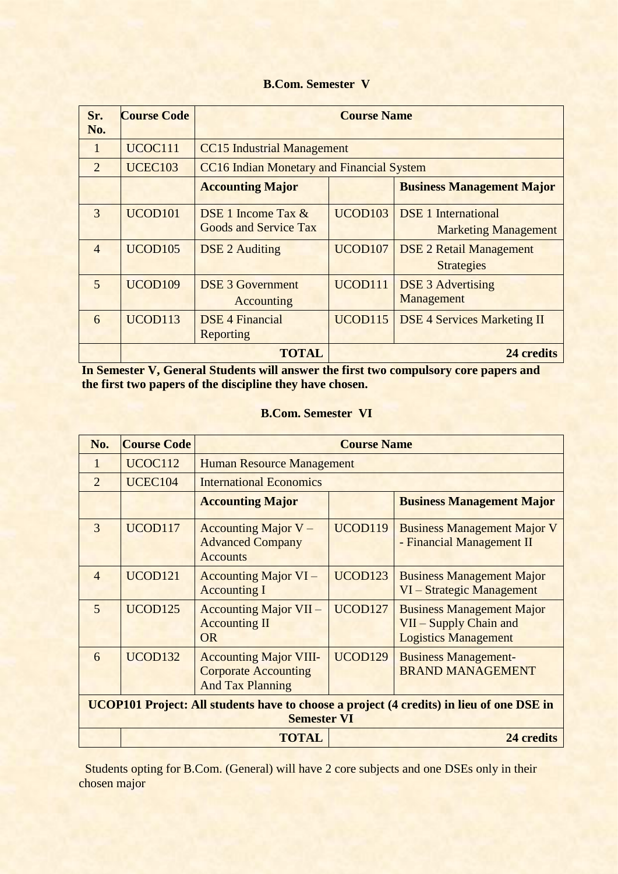#### **B.Com. Semester V**

| Sr.<br>No.     | <b>Course Code</b>  | <b>Course Name</b>                                   |                     |                                                           |  |
|----------------|---------------------|------------------------------------------------------|---------------------|-----------------------------------------------------------|--|
| $\mathbf{1}$   | UCOC111             | <b>CC15</b> Industrial Management                    |                     |                                                           |  |
| $\overline{2}$ | <b>UCEC103</b>      | <b>CC16 Indian Monetary and Financial System</b>     |                     |                                                           |  |
|                |                     | <b>Accounting Major</b>                              |                     | <b>Business Management Major</b>                          |  |
| 3              | UCOD <sub>101</sub> | DSE 1 Income Tax $&$<br><b>Goods and Service Tax</b> | UCOD <sub>103</sub> | <b>DSE</b> 1 International<br><b>Marketing Management</b> |  |
| $\overline{4}$ | UCOD <sub>105</sub> | <b>DSE 2 Auditing</b>                                | UCOD <sub>107</sub> | <b>DSE 2 Retail Management</b><br><b>Strategies</b>       |  |
| $\overline{5}$ | UCOD109             | <b>DSE 3 Government</b><br>Accounting                | UCOD111             | <b>DSE 3 Advertising</b><br>Management                    |  |
| 6              | UCOD113             | <b>DSE 4 Financial</b><br>Reporting                  | <b>UCOD115</b>      | <b>DSE 4 Services Marketing II</b>                        |  |
|                |                     | <b>TOTAL</b>                                         |                     | 24 credits                                                |  |

**In Semester V, General Students will answer the first two compulsory core papers and the first two papers of the discipline they have chosen.**

#### **B.Com. Semester VI**

| No.                                                                                                            | <b>Course Code</b>         | <b>Course Name</b>                                                                      |                     |                                                                                           |
|----------------------------------------------------------------------------------------------------------------|----------------------------|-----------------------------------------------------------------------------------------|---------------------|-------------------------------------------------------------------------------------------|
| 1                                                                                                              | UCOC112                    | <b>Human Resource Management</b>                                                        |                     |                                                                                           |
| $\overline{2}$                                                                                                 | <b>UCEC104</b>             | <b>International Economics</b>                                                          |                     |                                                                                           |
|                                                                                                                |                            | <b>Accounting Major</b>                                                                 |                     | <b>Business Management Major</b>                                                          |
| 3                                                                                                              | UCOD117                    | Accounting Major $V -$<br><b>Advanced Company</b><br><b>Accounts</b>                    | UCOD119             | <b>Business Management Major V</b><br>- Financial Management II                           |
| $\overline{4}$                                                                                                 | UCOD <sub>121</sub>        | <b>Accounting Major VI</b> –<br><b>Accounting I</b>                                     | UCOD <sub>123</sub> | <b>Business Management Major</b><br>VI – Strategic Management                             |
| 5                                                                                                              | UCOD <sub>125</sub>        | <b>Accounting Major VII –</b><br><b>Accounting II</b><br><b>OR</b>                      | UCOD <sub>127</sub> | <b>Business Management Major</b><br>VII - Supply Chain and<br><b>Logistics Management</b> |
| 6                                                                                                              | UCOD <sub>132</sub>        | <b>Accounting Major VIII-</b><br><b>Corporate Accounting</b><br><b>And Tax Planning</b> | UCOD129             | <b>Business Management-</b><br><b>BRAND MANAGEMENT</b>                                    |
| UCOP101 Project: All students have to choose a project (4 credits) in lieu of one DSE in<br><b>Semester VI</b> |                            |                                                                                         |                     |                                                                                           |
|                                                                                                                | <b>TOTAL</b><br>24 credits |                                                                                         |                     |                                                                                           |

 Students opting for B.Com. (General) will have 2 core subjects and one DSEs only in their chosen major